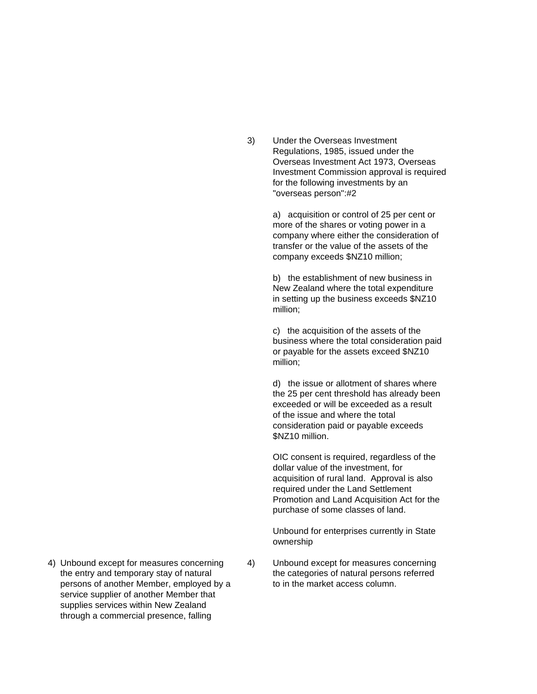3) Under the Overseas Investment Regulations, 1985, issued under the Overseas Investment Act 1973, Overseas Investment Commission approval is required for the following investments by an "overseas person":#2

> a) acquisition or control of 25 per cent or more of the shares or voting power in a company where either the consideration of transfer or the value of the assets of the company exceeds \$NZ10 million;

b) the establishment of new business in New Zealand where the total expenditure in setting up the business exceeds \$NZ10 million;

c) the acquisition of the assets of the business where the total consideration paid or payable for the assets exceed \$NZ10 million;

d) the issue or allotment of shares where the 25 per cent threshold has already been exceeded or will be exceeded as a result of the issue and where the total consideration paid or payable exceeds \$NZ10 million.

OIC consent is required, regardless of the dollar value of the investment, for acquisition of rural land. Approval is also required under the Land Settlement Promotion and Land Acquisition Act for the purchase of some classes of land.

Unbound for enterprises currently in State ownership

- persons of another Member, employed by a to in the market access column. service supplier of another Member that supplies services within New Zealand through a commercial presence, falling
- 4) Unbound except for measures concerning 4) Unbound except for measures concerning the entry and temporary stay of natural the categories of natural persons referred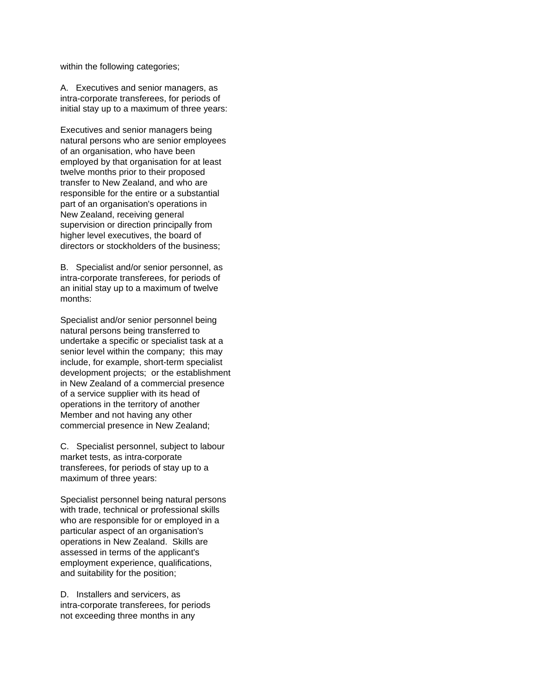within the following categories;

A. Executives and senior managers, as intra-corporate transferees, for periods of initial stay up to a maximum of three years:

Executives and senior managers being natural persons who are senior employees of an organisation, who have been employed by that organisation for at least twelve months prior to their proposed transfer to New Zealand, and who are responsible for the entire or a substantial part of an organisation's operations in New Zealand, receiving general supervision or direction principally from higher level executives, the board of directors or stockholders of the business;

B. Specialist and/or senior personnel, as intra-corporate transferees, for periods of an initial stay up to a maximum of twelve months:

Specialist and/or senior personnel being natural persons being transferred to undertake a specific or specialist task at a senior level within the company; this may include, for example, short-term specialist development projects; or the establishment in New Zealand of a commercial presence of a service supplier with its head of operations in the territory of another Member and not having any other commercial presence in New Zealand;

C. Specialist personnel, subject to labour market tests, as intra-corporate transferees, for periods of stay up to a maximum of three years:

Specialist personnel being natural persons with trade, technical or professional skills who are responsible for or employed in a particular aspect of an organisation's operations in New Zealand. Skills are assessed in terms of the applicant's employment experience, qualifications, and suitability for the position;

D. Installers and servicers, as intra-corporate transferees, for periods not exceeding three months in any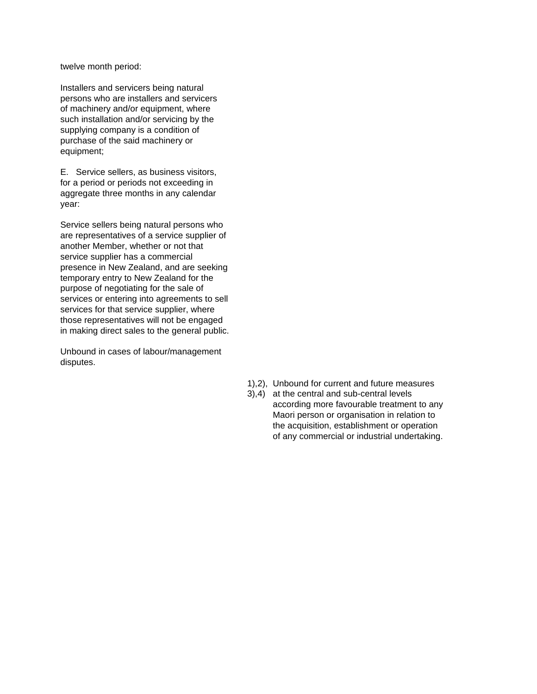twelve month period:

Installers and servicers being natural persons who are installers and servicers of machinery and/or equipment, where such installation and/or servicing by the supplying company is a condition of purchase of the said machinery or equipment;

E. Service sellers, as business visitors, for a period or periods not exceeding in aggregate three months in any calendar year:

Service sellers being natural persons who are representatives of a service supplier of another Member, whether or not that service supplier has a commercial presence in New Zealand, and are seeking temporary entry to New Zealand for the purpose of negotiating for the sale of services or entering into agreements to sell services for that service supplier, where those representatives will not be engaged in making direct sales to the general public.

Unbound in cases of labour/management disputes.

- 1),2), Unbound for current and future measures
- 3),4) at the central and sub-central levels according more favourable treatment to any Maori person or organisation in relation to the acquisition, establishment or operation of any commercial or industrial undertaking.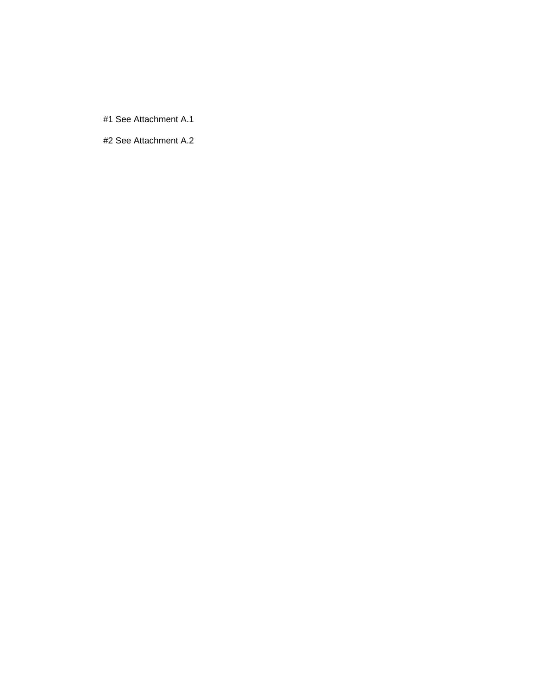#1 See Attachment A.1

#2 See Attachment A.2